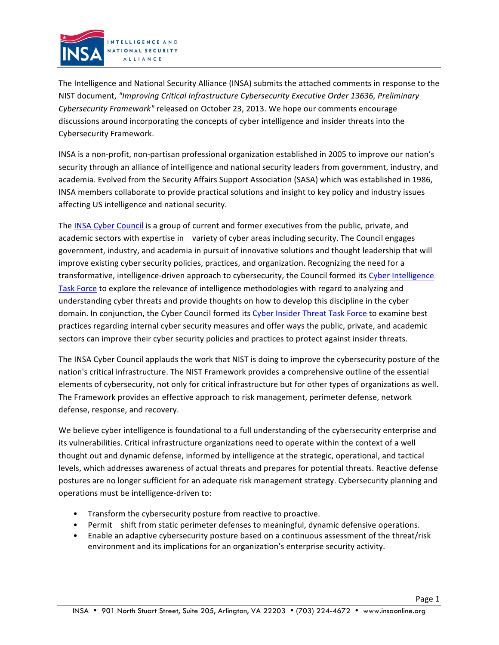

The Intelligence and National Security Alliance (INSA) submits the attached comments in response to the NIST document, *"Improving Critical Infrastructure Cybersecurity Executive Order 13636, Preliminary Cybersecurity Framework"* released on October 23, 2013. We hope our comments encourage discussions around incorporating the concepts of cyber intelligence and insider threats into the Cybersecurity Framework.

INSA is a non-profit, non-partisan professional organization established in 2005 to improve our nation's security through an alliance of intelligence and national security leaders from government, industry, and academia. Evolved from the Security Affairs Support Association (SASA) which was established in 1986, INSA members collaborate to provide practical solutions and insight to key policy and industry issues affecting US intelligence and national security.

The INSA Cyber Council is a group of current and former executives from the public, private, and academic sectors with expertise in variety of cyber areas including security. The Council engages government, industry, and academia in pursuit of innovative solutions and thought leadership that will improve existing cyber security policies, practices, and organization. Recognizing the need for a transformative, intelligence-driven approach to cybersecurity, the Council formed its Cyber Intelligence Task Force to explore the relevance of intelligence methodologies with regard to analyzing and understanding cyber threats and provide thoughts on how to develop this discipline in the cyber domain. In conjunction, the Cyber Council formed its Cyber Insider Threat Task Force to examine best practices regarding internal cyber security measures and offer ways the public, private, and academic sectors can improve their cyber security policies and practices to protect against insider threats.

The INSA Cyber Council applauds the work that NIST is doing to improve the cybersecurity posture of the nation's critical infrastructure. The NIST Framework provides a comprehensive outline of the essential elements of cybersecurity, not only for critical infrastructure but for other types of organizations as well. The Framework provides an effective approach to risk management, perimeter defense, network defense, response, and recovery.

We believe cyber intelligence is foundational to a full understanding of the cybersecurity enterprise and its vulnerabilities. Critical infrastructure organizations need to operate within the context of a well thought out and dynamic defense, informed by intelligence at the strategic, operational, and tactical levels, which addresses awareness of actual threats and prepares for potential threats. Reactive defense postures are no longer sufficient for an adequate risk management strategy. Cybersecurity planning and operations must be intelligence-driven to:

- Transform the cybersecurity posture from reactive to proactive.
- Permit shift from static perimeter defenses to meaningful, dynamic defensive operations.
- Enable an adaptive cybersecurity posture based on a continuous assessment of the threat/risk environment and its implications for an organization's enterprise security activity.